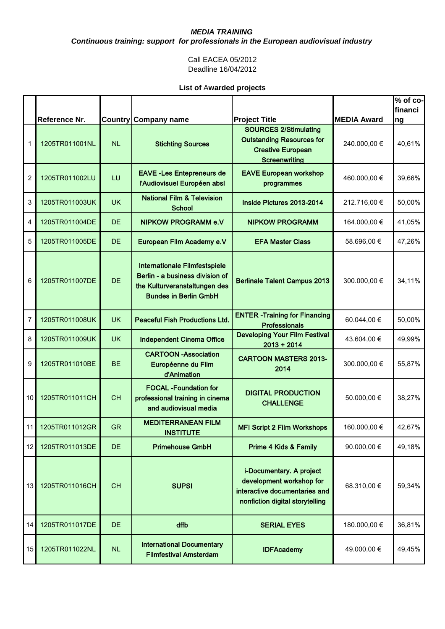*Continuous training: support for professionals in the European audiovisual industry* 

#### Call EACEA 05/2012 Deadline 16/04/2012

|                |                |           |                                                                                                                                   |                                                                                                                          |                    | $\sqrt[6]{2}$ of co-<br>financi |
|----------------|----------------|-----------|-----------------------------------------------------------------------------------------------------------------------------------|--------------------------------------------------------------------------------------------------------------------------|--------------------|---------------------------------|
|                | Reference Nr.  |           | <b>Country Company name</b>                                                                                                       | <b>Project Title</b>                                                                                                     | <b>MEDIA Award</b> | ng                              |
| 1              | 1205TR011001NL | <b>NL</b> | <b>Stichting Sources</b>                                                                                                          | <b>SOURCES 2/Stimulating</b><br><b>Outstanding Resources for</b><br><b>Creative European</b><br><b>Screenwriting</b>     | 240.000,00 €       | 40,61%                          |
| $\overline{c}$ | 1205TR011002LU | LU        | <b>EAVE-Les Entepreneurs de</b><br>l'Audiovisuel Européen absl                                                                    | <b>EAVE European workshop</b><br>programmes                                                                              | 460.000,00 €       | 39,66%                          |
| 3              | 1205TR011003UK | <b>UK</b> | <b>National Film &amp; Television</b><br><b>School</b>                                                                            | Inside Pictures 2013-2014                                                                                                | 212.716,00 €       | 50,00%                          |
| 4              | 1205TR011004DE | <b>DE</b> | <b>NIPKOW PROGRAMM e.V</b>                                                                                                        | <b>NIPKOW PROGRAMM</b>                                                                                                   | 164.000,00 €       | 41,05%                          |
| 5              | 1205TR011005DE | <b>DE</b> | European Film Academy e.V                                                                                                         | <b>EFA Master Class</b>                                                                                                  | 58.696,00 €        | 47,26%                          |
| 6              | 1205TR011007DE | <b>DE</b> | Internationale Filmfestspiele<br>Berlin - a business division of<br>the Kulturveranstaltungen des<br><b>Bundes in Berlin GmbH</b> | <b>Berlinale Talent Campus 2013</b>                                                                                      | 300.000,00 €       | 34,11%                          |
| 7              | 1205TR011008UK | <b>UK</b> | <b>Peaceful Fish Productions Ltd.</b>                                                                                             | <b>ENTER - Training for Financing</b><br><b>Professionals</b>                                                            | 60.044,00 €        | 50,00%                          |
| 8              | 1205TR011009UK | <b>UK</b> | <b>Independent Cinema Office</b>                                                                                                  | <b>Developing Your Film Festival</b><br>$2013 + 2014$                                                                    | 43.604,00 €        | 49,99%                          |
| 9              | 1205TR011010BE | <b>BE</b> | <b>CARTOON -Association</b><br>Européenne du Film<br>d'Animation                                                                  | <b>CARTOON MASTERS 2013-</b><br>2014                                                                                     | 300.000,00 €       | 55,87%                          |
| 10             | 1205TR011011CH | <b>CH</b> | <b>FOCAL -Foundation for</b><br>professional training in cinema<br>and audiovisual media                                          | <b>DIGITAL PRODUCTION</b><br><b>CHALLENGE</b>                                                                            | 50.000,00 €        | 38,27%                          |
| 11             | 1205TR011012GR | <b>GR</b> | <b>MEDITERRANEAN FILM</b><br><b>INSTITUTE</b>                                                                                     | <b>MFI Script 2 Film Workshops</b>                                                                                       | 160.000,00 €       | 42,67%                          |
| 12             | 1205TR011013DE | <b>DE</b> | <b>Primehouse GmbH</b>                                                                                                            | Prime 4 Kids & Family                                                                                                    | 90.000,00 €        | 49,18%                          |
| 13             | 1205TR011016CH | <b>CH</b> | <b>SUPSI</b>                                                                                                                      | i-Documentary. A project<br>development workshop for<br>interactive documentaries and<br>nonfiction digital storytelling | 68.310,00 €        | 59,34%                          |
| 14             | 1205TR011017DE | <b>DE</b> | dffb                                                                                                                              | <b>SERIAL EYES</b>                                                                                                       | 180.000,00 €       | 36,81%                          |
| 15             | 1205TR011022NL | NL        | <b>International Documentary</b><br><b>Filmfestival Amsterdam</b>                                                                 | <b>IDFAcademy</b>                                                                                                        | 49.000,00 €        | 49,45%                          |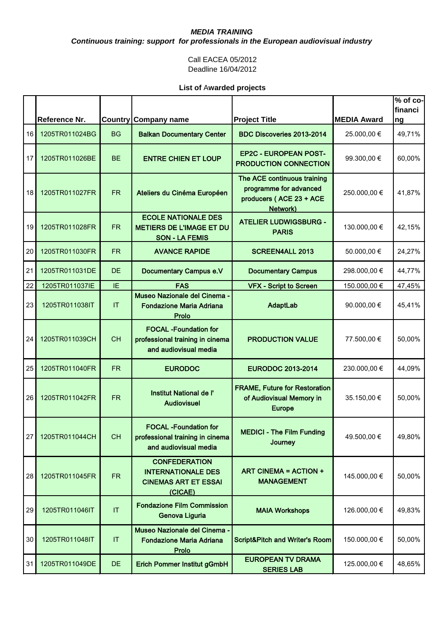*Continuous training: support for professionals in the European audiovisual industry* 

#### Call EACEA 05/2012 Deadline 16/04/2012

|                 | <b>Reference Nr.</b> | <b>Country</b> | Company name                                                                                | <b>Project Title</b>                                                                         | <b>MEDIA Award</b> | $\sqrt{2}$ of co-<br>financi<br>ng |
|-----------------|----------------------|----------------|---------------------------------------------------------------------------------------------|----------------------------------------------------------------------------------------------|--------------------|------------------------------------|
| 16              | 1205TR011024BG       | <b>BG</b>      | <b>Balkan Documentary Center</b>                                                            | BDC Discoveries 2013-2014                                                                    | 25.000,00 €        | 49,71%                             |
| 17              | 1205TR011026BE       | <b>BE</b>      | <b>ENTRE CHIEN ET LOUP</b>                                                                  | <b>EP2C - EUROPEAN POST-</b><br><b>PRODUCTION CONNECTION</b>                                 | 99.300,00 €        | 60,00%                             |
| 18 <sup>1</sup> | 1205TR011027FR       | <b>FR</b>      | Ateliers du Cinéma Européen                                                                 | The ACE continuous training<br>programme for advanced<br>producers (ACE 23 + ACE<br>Network) | 250.000,00 €       | 41,87%                             |
| 19              | 1205TR011028FR       | <b>FR</b>      | <b>ECOLE NATIONALE DES</b><br><b>METIERS DE L'IMAGE ET DU</b><br><b>SON - LA FEMIS</b>      | <b>ATELIER LUDWIGSBURG -</b><br><b>PARIS</b>                                                 | 130.000,00 €       | 42,15%                             |
| 20              | 1205TR011030FR       | <b>FR</b>      | <b>AVANCE RAPIDE</b>                                                                        | <b>SCREEN4ALL 2013</b>                                                                       | 50.000,00 €        | 24,27%                             |
| 21              | 1205TR011031DE       | <b>DE</b>      | <b>Documentary Campus e.V</b>                                                               | <b>Documentary Campus</b>                                                                    | 298.000,00 €       | 44,77%                             |
| 22              | 1205TR011037IE       | IE             | <b>FAS</b>                                                                                  | <b>VFX - Script to Screen</b>                                                                | 150.000,00 €       | 47,45%                             |
| 23              | 1205TR011038IT       | IT             | Museo Nazionale del Cinema -<br><b>Fondazione Maria Adriana</b><br>Prolo                    | AdaptLab                                                                                     | 90.000,00 €        | 45,41%                             |
| 24              | 1205TR011039CH       | <b>CH</b>      | <b>FOCAL -Foundation for</b><br>professional training in cinema<br>and audiovisual media    | <b>PRODUCTION VALUE</b>                                                                      | 77.500,00 €        | 50,00%                             |
| 25              | 1205TR011040FR       | <b>FR</b>      | <b>EURODOC</b>                                                                              | <b>EURODOC 2013-2014</b>                                                                     | 230.000,00 €       | 44,09%                             |
| 26              | 1205TR011042FR       | FR.            | Institut National de l'<br><b>Audiovisuel</b>                                               | <b>FRAME, Future for Restoration</b><br>of Audiovisual Memory in<br><b>Europe</b>            | 35.150,00 €        | 50,00%                             |
| 27              | 1205TR011044CH       | <b>CH</b>      | <b>FOCAL</b> -Foundation for<br>professional training in cinema<br>and audiovisual media    | <b>MEDICI - The Film Funding</b><br>Journey                                                  | 49.500,00 €        | 49,80%                             |
| 28              | 1205TR011045FR       | <b>FR</b>      | <b>CONFEDERATION</b><br><b>INTERNATIONALE DES</b><br><b>CINEMAS ART ET ESSAI</b><br>(CICAE) | <b>ART CINEMA = ACTION +</b><br><b>MANAGEMENT</b>                                            | 145.000,00 €       | 50,00%                             |
| 29              | 1205TR011046IT       | IT             | <b>Fondazione Film Commission</b><br>Genova Liguria                                         | <b>MAIA Workshops</b>                                                                        | 126.000,00 €       | 49,83%                             |
| 30              | 1205TR011048IT       | IT             | Museo Nazionale del Cinema -<br><b>Fondazione Maria Adriana</b><br>Prolo                    | Script&Pitch and Writer's Room                                                               | 150.000,00 €       | 50,00%                             |
| 31              | 1205TR011049DE       | <b>DE</b>      | <b>Erich Pommer Institut gGmbH</b>                                                          | <b>EUROPEAN TV DRAMA</b><br><b>SERIES LAB</b>                                                | 125.000,00 €       | 48,65%                             |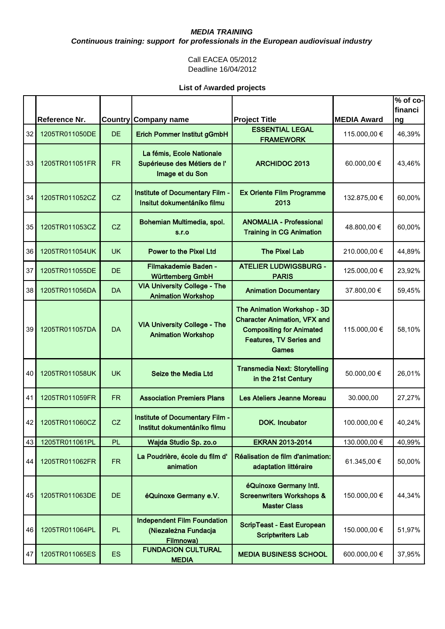*Continuous training: support for professionals in the European audiovisual industry* 

#### Call EACEA 05/2012 Deadline 16/04/2012

|    |                |           |                                                                              |                                                                                                                                                  |                    | $\sqrt[6]{2}$ of co-<br>financi |
|----|----------------|-----------|------------------------------------------------------------------------------|--------------------------------------------------------------------------------------------------------------------------------------------------|--------------------|---------------------------------|
|    | Reference Nr.  |           | <b>Country Company name</b>                                                  | <b>Project Title</b>                                                                                                                             | <b>MEDIA Award</b> | ng                              |
| 32 | 1205TR011050DE | <b>DE</b> | <b>Erich Pommer Institut gGmbH</b>                                           | <b>ESSENTIAL LEGAL</b><br><b>FRAMEWORK</b>                                                                                                       | 115.000,00 €       | 46,39%                          |
| 33 | 1205TR011051FR | <b>FR</b> | La fémis, Ecole Nationale<br>Supérieuse des Métiers de l'<br>Image et du Son | <b>ARCHIDOC 2013</b>                                                                                                                             | 60.000,00 €        | 43,46%                          |
| 34 | 1205TR011052CZ | CZ        | Institute of Documentary Film -<br>Insitut dokumentáníko filmu               | <b>Ex Oriente Film Programme</b><br>2013                                                                                                         | 132.875,00 €       | 60,00%                          |
| 35 | 1205TR011053CZ | CZ        | Bohemian Multimedia, spol.<br>S.I.O                                          | <b>ANOMALIA - Professional</b><br><b>Training in CG Animation</b>                                                                                | 48.800,00 €        | 60,00%                          |
| 36 | 1205TR011054UK | <b>UK</b> | <b>Power to the Pixel Ltd</b>                                                | <b>The Pixel Lab</b>                                                                                                                             | 210.000,00 €       | 44,89%                          |
| 37 | 1205TR011055DE | <b>DE</b> | <b>Filmakademie Baden -</b><br>Württemberg GmbH                              | <b>ATELIER LUDWIGSBURG -</b><br><b>PARIS</b>                                                                                                     | 125.000,00 €       | 23,92%                          |
| 38 | 1205TR011056DA | <b>DA</b> | <b>VIA University College - The</b><br><b>Animation Workshop</b>             | <b>Animation Documentary</b>                                                                                                                     | 37.800,00 €        | 59,45%                          |
| 39 | 1205TR011057DA | <b>DA</b> | <b>VIA University College - The</b><br><b>Animation Workshop</b>             | The Animation Workshop - 3D<br><b>Character Animation, VFX and</b><br><b>Compositing for Animated</b><br><b>Features, TV Series and</b><br>Games | 115.000,00 €       | 58,10%                          |
| 40 | 1205TR011058UK | <b>UK</b> | <b>Seize the Media Ltd</b>                                                   | <b>Transmedia Next: Storytelling</b><br>in the 21st Century                                                                                      | 50.000,00 €        | 26,01%                          |
| 41 | 1205TR011059FR | FR.       | <b>Association Premiers Plans</b>                                            | Les Ateliers Jeanne Moreau                                                                                                                       | 30.000,00          | 27,27%                          |
| 42 | 1205TR011060CZ | CZ        | Institute of Documentary Film -<br>Institut dokumentáníko filmu              | <b>DOK.</b> Incubator                                                                                                                            | 100.000,00 €       | 40,24%                          |
| 43 | 1205TR011061PL | <b>PL</b> | Wajda Studio Sp. zo.o                                                        | <b>EKRAN 2013-2014</b>                                                                                                                           | 130.000,00 €       | 40,99%                          |
| 44 | 1205TR011062FR | <b>FR</b> | La Poudrière, école du film d'<br>animation                                  | Réalisation de film d'animation:<br>adaptation littéraire                                                                                        | 61.345,00 €        | 50,00%                          |
| 45 | 1205TR011063DE | DE.       | éQuinoxe Germany e.V.                                                        | éQuinoxe Germany Intl.<br><b>Screenwriters Workshops &amp;</b><br><b>Master Class</b>                                                            | 150.000,00 €       | 44,34%                          |
| 46 | 1205TR011064PL | PL.       | <b>Independent Film Foundation</b><br>(Niezależna Fundacja<br>Filmnowa)      | ScripTeast - East European<br><b>Scriptwriters Lab</b>                                                                                           | 150.000,00 €       | 51,97%                          |
| 47 | 1205TR011065ES | <b>ES</b> | <b>FUNDACION CULTURAL</b><br><b>MEDIA</b>                                    | <b>MEDIA BUSINESS SCHOOL</b>                                                                                                                     | 600.000,00 €       | 37,95%                          |